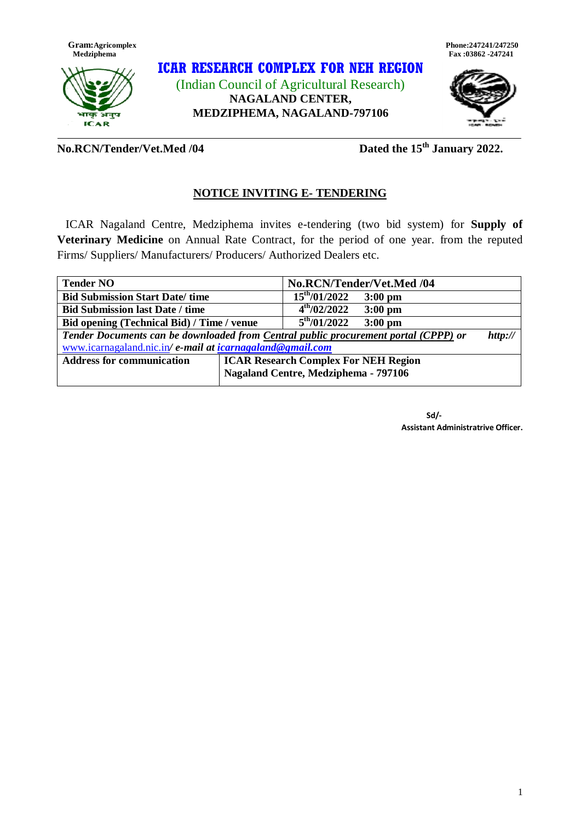



## **ICAR RESEARCH COMPLEX FOR NEH REGION** (Indian Council of Agricultural Research) **NAGALAND CENTER, MEDZIPHEMA, NAGALAND-797106**





**No.RCN/Tender/Vet.Med /04 Dated the 15th January 2022.**

## **NOTICE INVITING E- TENDERING**

 ICAR Nagaland Centre, Medziphema invites e-tendering (two bid system) for **Supply of Veterinary Medicine** on Annual Rate Contract, for the period of one year. from the reputed Firms/ Suppliers/ Manufacturers/ Producers/ Authorized Dealers etc.

| No.RCN/Tender/Vet.Med /04                                                                      |                   |                         |  |
|------------------------------------------------------------------------------------------------|-------------------|-------------------------|--|
|                                                                                                | $15^{th}/01/2022$ | $3:00$ pm               |  |
|                                                                                                | $4^{th}/02/2022$  | $3:00$ pm               |  |
| Bid opening (Technical Bid) / Time / venue                                                     |                   | $3:00$ pm               |  |
| Tender Documents can be downloaded from Central public procurement portal (CPPP) or<br>http:// |                   |                         |  |
| www.icarnagaland.nic.in/ e-mail at icarnagaland@gmail.com                                      |                   |                         |  |
| <b>ICAR Research Complex For NEH Region</b>                                                    |                   |                         |  |
| Nagaland Centre, Medziphema - 797106                                                           |                   |                         |  |
|                                                                                                |                   | $5^{\text{th}}/01/2022$ |  |

 **Sd/- Assistant Administratrive Officer.**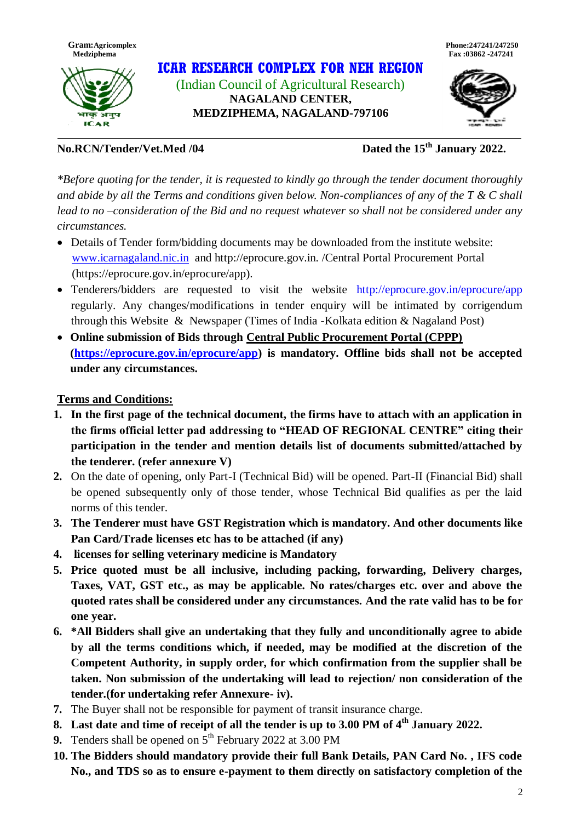

अनुष **ICAR** 

**ICAR RESEARCH COMPLEX FOR NEH REGION** (Indian Council of Agricultural Research) **NAGALAND CENTER, MEDZIPHEMA, NAGALAND-797106**



**No.RCN/Tender/Vet.Med /04 Dated the 15th January 2022.**

*\*Before quoting for the tender, it is requested to kindly go through the tender document thoroughly and abide by all the Terms and conditions given below. Non-compliances of any of the T & C shall lead to no –consideration of the Bid and no request whatever so shall not be considered under any circumstances.* 

- Details of Tender form/bidding documents may be downloaded from the institute website: [www.icarnagaland.nic.in](http://www.icarnagaland.nic.in/) and http://eprocure.gov.in. /Central Portal Procurement Portal (https://eprocure.gov.in/eprocure/app).
- Tenderers/bidders are requested to visit the website http://eprocure.gov.in/eprocure/app regularly. Any changes/modifications in tender enquiry will be intimated by corrigendum through this Website & Newspaper (Times of India -Kolkata edition & Nagaland Post)
- **Online submission of Bids through Central Public Procurement Portal (CPPP) [\(https://eprocure.gov.in/eprocure/app\)](https://eprocure.gov.in/eprocure/app) is mandatory. Offline bids shall not be accepted under any circumstances.**

## **Terms and Conditions:**

- **1. In the first page of the technical document, the firms have to attach with an application in the firms official letter pad addressing to "HEAD OF REGIONAL CENTRE" citing their participation in the tender and mention details list of documents submitted/attached by the tenderer. (refer annexure V)**
- **2.** On the date of opening, only Part-I (Technical Bid) will be opened. Part-II (Financial Bid) shall be opened subsequently only of those tender, whose Technical Bid qualifies as per the laid norms of this tender.
- **3. The Tenderer must have GST Registration which is mandatory. And other documents like Pan Card/Trade licenses etc has to be attached (if any)**
- **4. licenses for selling veterinary medicine is Mandatory**
- **5. Price quoted must be all inclusive, including packing, forwarding, Delivery charges, Taxes, VAT, GST etc., as may be applicable. No rates/charges etc. over and above the quoted rates shall be considered under any circumstances. And the rate valid has to be for one year.**
- **6. \*All Bidders shall give an undertaking that they fully and unconditionally agree to abide by all the terms conditions which, if needed, may be modified at the discretion of the Competent Authority, in supply order, for which confirmation from the supplier shall be taken. Non submission of the undertaking will lead to rejection/ non consideration of the tender.(for undertaking refer Annexure- iv).**
- **7.** The Buyer shall not be responsible for payment of transit insurance charge.
- **8. Last date and time of receipt of all the tender is up to 3.00 PM of 4 th January 2022.**
- **9.** Tenders shall be opened on 5<sup>th</sup> February 2022 at 3.00 PM
- **10. The Bidders should mandatory provide their full Bank Details, PAN Card No. , IFS code No., and TDS so as to ensure e-payment to them directly on satisfactory completion of the**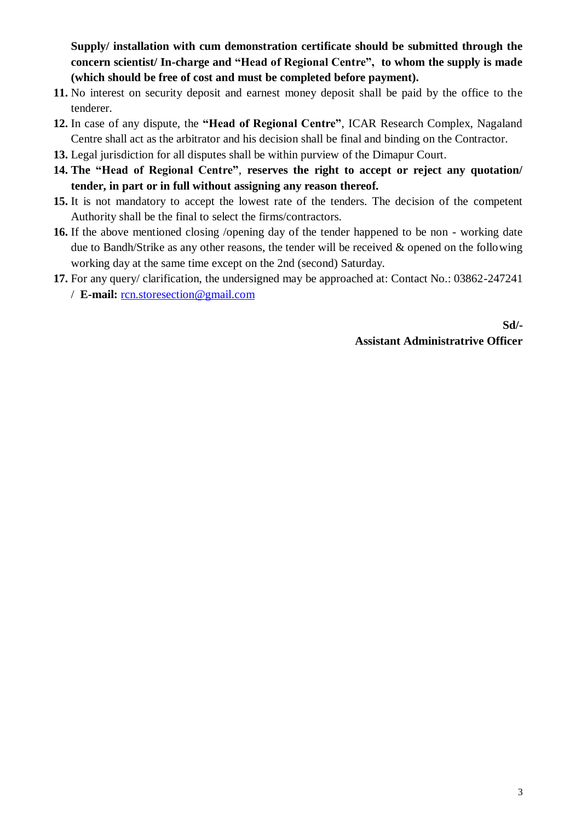**Supply/ installation with cum demonstration certificate should be submitted through the concern scientist/ In-charge and "Head of Regional Centre", to whom the supply is made (which should be free of cost and must be completed before payment).**

- **11.** No interest on security deposit and earnest money deposit shall be paid by the office to the tenderer.
- **12.** In case of any dispute, the **"Head of Regional Centre"**, ICAR Research Complex, Nagaland Centre shall act as the arbitrator and his decision shall be final and binding on the Contractor.
- **13.** Legal jurisdiction for all disputes shall be within purview of the Dimapur Court.
- **14. The "Head of Regional Centre"**, **reserves the right to accept or reject any quotation/ tender, in part or in full without assigning any reason thereof.**
- **15.** It is not mandatory to accept the lowest rate of the tenders. The decision of the competent Authority shall be the final to select the firms/contractors.
- **16.** If the above mentioned closing /opening day of the tender happened to be non working date due to Bandh/Strike as any other reasons, the tender will be received & opened on the following working day at the same time except on the 2nd (second) Saturday.
- **17.** For any query/ clarification, the undersigned may be approached at: Contact No.: 03862-247241 / **E-mail:** [rcn.storesection@gmail.com](mailto:rcn.storesection@gmail.com)

**Sd/- Assistant Administratrive Officer**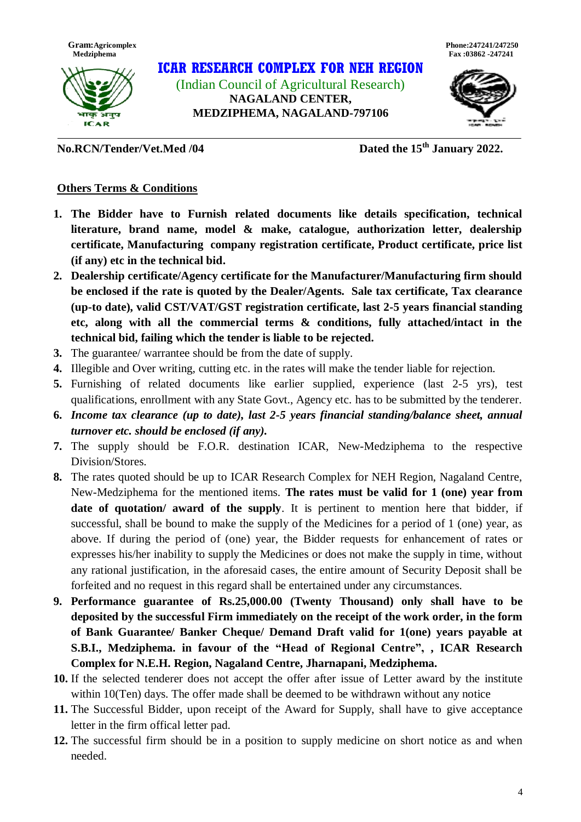

**ICAR RESEARCH COMPLEX FOR NEH REGION** (Indian Council of Agricultural Research) **NAGALAND CENTER, MEDZIPHEMA, NAGALAND-797106**



**No.RCN/Tender/Vet.Med /04 Dated the 15th January 2022.**

## **Others Terms & Conditions**

- **1. The Bidder have to Furnish related documents like details specification, technical literature, brand name, model & make, catalogue, authorization letter, dealership certificate, Manufacturing company registration certificate, Product certificate, price list (if any) etc in the technical bid.**
- **2. Dealership certificate/Agency certificate for the Manufacturer/Manufacturing firm should be enclosed if the rate is quoted by the Dealer/Agents. Sale tax certificate, Tax clearance (up-to date), valid CST/VAT/GST registration certificate, last 2-5 years financial standing etc, along with all the commercial terms & conditions, fully attached/intact in the technical bid, failing which the tender is liable to be rejected.**
- **3.** The guarantee/ warrantee should be from the date of supply.
- **4.** Illegible and Over writing, cutting etc. in the rates will make the tender liable for rejection.
- **5.** Furnishing of related documents like earlier supplied, experience (last 2-5 yrs), test qualifications, enrollment with any State Govt., Agency etc. has to be submitted by the tenderer.
- **6.** *Income tax clearance (up to date), last 2-5 years financial standing/balance sheet, annual turnover etc. should be enclosed (if any).*
- **7.** The supply should be F.O.R. destination ICAR, New-Medziphema to the respective Division/Stores.
- **8.** The rates quoted should be up to ICAR Research Complex for NEH Region, Nagaland Centre, New-Medziphema for the mentioned items. **The rates must be valid for 1 (one) year from date of quotation/ award of the supply**. It is pertinent to mention here that bidder, if successful, shall be bound to make the supply of the Medicines for a period of 1 (one) year, as above. If during the period of (one) year, the Bidder requests for enhancement of rates or expresses his/her inability to supply the Medicines or does not make the supply in time, without any rational justification, in the aforesaid cases, the entire amount of Security Deposit shall be forfeited and no request in this regard shall be entertained under any circumstances.
- **9. Performance guarantee of Rs.25,000.00 (Twenty Thousand) only shall have to be deposited by the successful Firm immediately on the receipt of the work order, in the form of Bank Guarantee/ Banker Cheque/ Demand Draft valid for 1(one) years payable at S.B.I., Medziphema. in favour of the "Head of Regional Centre", , ICAR Research Complex for N.E.H. Region, Nagaland Centre, Jharnapani, Medziphema.**
- **10.** If the selected tenderer does not accept the offer after issue of Letter award by the institute within 10(Ten) days. The offer made shall be deemed to be withdrawn without any notice
- **11.** The Successful Bidder, upon receipt of the Award for Supply, shall have to give acceptance letter in the firm offical letter pad.
- **12.** The successful firm should be in a position to supply medicine on short notice as and when needed.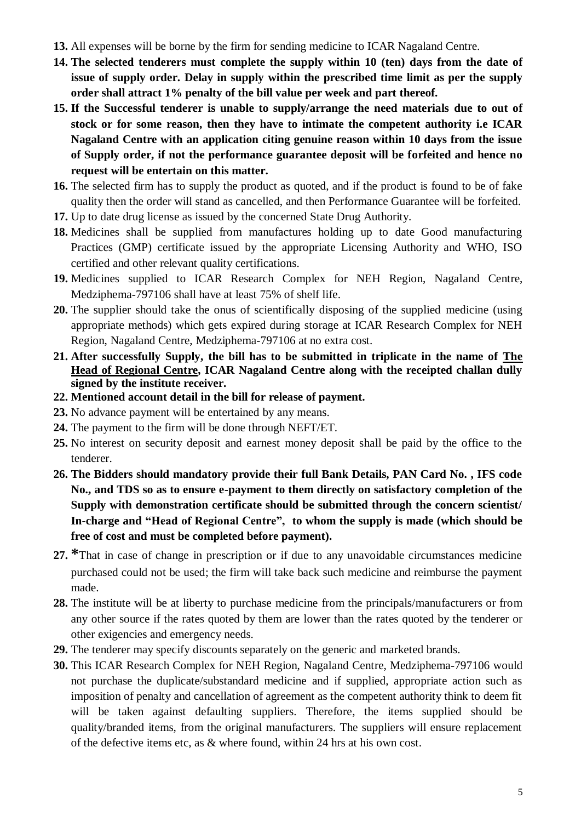- **13.** All expenses will be borne by the firm for sending medicine to ICAR Nagaland Centre.
- **14. The selected tenderers must complete the supply within 10 (ten) days from the date of issue of supply order. Delay in supply within the prescribed time limit as per the supply order shall attract 1% penalty of the bill value per week and part thereof.**
- **15. If the Successful tenderer is unable to supply/arrange the need materials due to out of stock or for some reason, then they have to intimate the competent authority i.e ICAR Nagaland Centre with an application citing genuine reason within 10 days from the issue of Supply order, if not the performance guarantee deposit will be forfeited and hence no request will be entertain on this matter.**
- **16.** The selected firm has to supply the product as quoted, and if the product is found to be of fake quality then the order will stand as cancelled, and then Performance Guarantee will be forfeited.
- **17.** Up to date drug license as issued by the concerned State Drug Authority.
- **18.** Medicines shall be supplied from manufactures holding up to date Good manufacturing Practices (GMP) certificate issued by the appropriate Licensing Authority and WHO, ISO certified and other relevant quality certifications.
- **19.** Medicines supplied to ICAR Research Complex for NEH Region, Nagaland Centre, Medziphema-797106 shall have at least 75% of shelf life.
- **20.** The supplier should take the onus of scientifically disposing of the supplied medicine (using appropriate methods) which gets expired during storage at ICAR Research Complex for NEH Region, Nagaland Centre, Medziphema-797106 at no extra cost.
- **21. After successfully Supply, the bill has to be submitted in triplicate in the name of The Head of Regional Centre, ICAR Nagaland Centre along with the receipted challan dully signed by the institute receiver.**
- **22. Mentioned account detail in the bill for release of payment.**
- **23.** No advance payment will be entertained by any means.
- **24.** The payment to the firm will be done through NEFT/ET.
- **25.** No interest on security deposit and earnest money deposit shall be paid by the office to the tenderer.
- **26. The Bidders should mandatory provide their full Bank Details, PAN Card No. , IFS code No., and TDS so as to ensure e-payment to them directly on satisfactory completion of the Supply with demonstration certificate should be submitted through the concern scientist/ In-charge and "Head of Regional Centre", to whom the supply is made (which should be free of cost and must be completed before payment).**
- **27. \***That in case of change in prescription or if due to any unavoidable circumstances medicine purchased could not be used; the firm will take back such medicine and reimburse the payment made.
- **28.** The institute will be at liberty to purchase medicine from the principals/manufacturers or from any other source if the rates quoted by them are lower than the rates quoted by the tenderer or other exigencies and emergency needs.
- **29.** The tenderer may specify discounts separately on the generic and marketed brands.
- **30.** This ICAR Research Complex for NEH Region, Nagaland Centre, Medziphema-797106 would not purchase the duplicate/substandard medicine and if supplied, appropriate action such as imposition of penalty and cancellation of agreement as the competent authority think to deem fit will be taken against defaulting suppliers. Therefore, the items supplied should be quality/branded items, from the original manufacturers. The suppliers will ensure replacement of the defective items etc, as & where found, within 24 hrs at his own cost.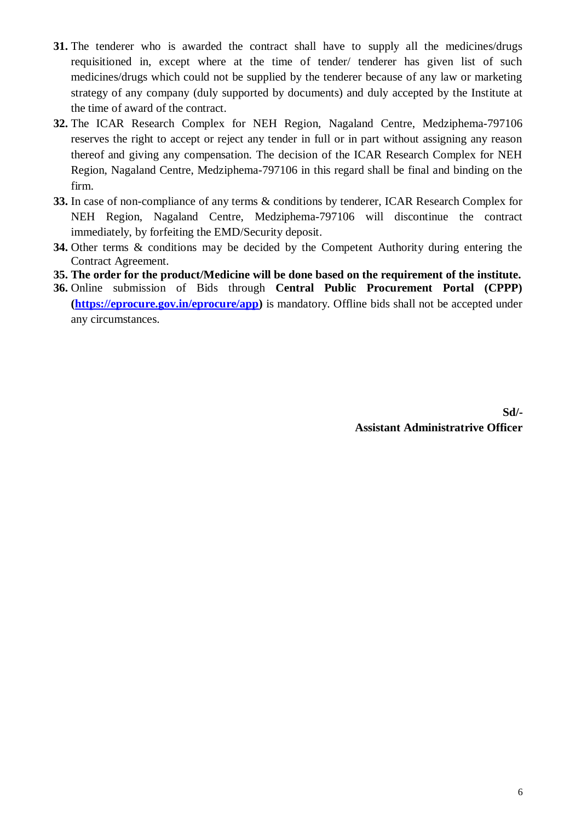- **31.** The tenderer who is awarded the contract shall have to supply all the medicines/drugs requisitioned in, except where at the time of tender/ tenderer has given list of such medicines/drugs which could not be supplied by the tenderer because of any law or marketing strategy of any company (duly supported by documents) and duly accepted by the Institute at the time of award of the contract.
- **32.** The ICAR Research Complex for NEH Region, Nagaland Centre, Medziphema-797106 reserves the right to accept or reject any tender in full or in part without assigning any reason thereof and giving any compensation. The decision of the ICAR Research Complex for NEH Region, Nagaland Centre, Medziphema-797106 in this regard shall be final and binding on the firm.
- **33.** In case of non-compliance of any terms & conditions by tenderer, ICAR Research Complex for NEH Region, Nagaland Centre, Medziphema-797106 will discontinue the contract immediately, by forfeiting the EMD/Security deposit.
- **34.** Other terms & conditions may be decided by the Competent Authority during entering the Contract Agreement.
- **35. The order for the product/Medicine will be done based on the requirement of the institute.**
- **36.** Online submission of Bids through **Central Public Procurement Portal (CPPP) [\(https://eprocure.gov.in/eprocure/app\)](https://eprocure.gov.in/eprocure/app)** is mandatory. Offline bids shall not be accepted under any circumstances.

**Sd/- Assistant Administratrive Officer**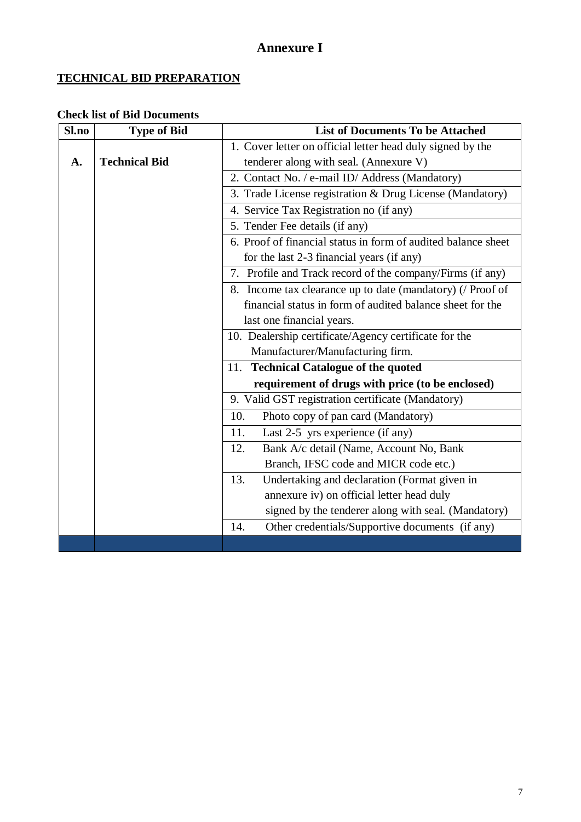# **Annexure I**

## **TECHNICAL BID PREPARATION**

## **Check list of Bid Documents**

| Sl.no | <b>Type of Bid</b>   | <b>List of Documents To be Attached</b>                       |  |  |
|-------|----------------------|---------------------------------------------------------------|--|--|
|       |                      | 1. Cover letter on official letter head duly signed by the    |  |  |
| A.    | <b>Technical Bid</b> | tenderer along with seal. (Annexure V)                        |  |  |
|       |                      | 2. Contact No. / e-mail ID/ Address (Mandatory)               |  |  |
|       |                      | 3. Trade License registration & Drug License (Mandatory)      |  |  |
|       |                      | 4. Service Tax Registration no (if any)                       |  |  |
|       |                      | 5. Tender Fee details (if any)                                |  |  |
|       |                      | 6. Proof of financial status in form of audited balance sheet |  |  |
|       |                      | for the last 2-3 financial years (if any)                     |  |  |
|       |                      | 7. Profile and Track record of the company/Firms (if any)     |  |  |
|       |                      | 8. Income tax clearance up to date (mandatory) (/ Proof of    |  |  |
|       |                      | financial status in form of audited balance sheet for the     |  |  |
|       |                      | last one financial years.                                     |  |  |
|       |                      | 10. Dealership certificate/Agency certificate for the         |  |  |
|       |                      | Manufacturer/Manufacturing firm.                              |  |  |
|       |                      | <b>Technical Catalogue of the quoted</b><br>11.               |  |  |
|       |                      | requirement of drugs with price (to be enclosed)              |  |  |
|       |                      | 9. Valid GST registration certificate (Mandatory)             |  |  |
|       |                      | Photo copy of pan card (Mandatory)<br>10.                     |  |  |
|       |                      | Last 2-5 yrs experience (if any)<br>11.                       |  |  |
|       |                      | Bank A/c detail (Name, Account No, Bank<br>12.                |  |  |
|       |                      | Branch, IFSC code and MICR code etc.)                         |  |  |
|       |                      | Undertaking and declaration (Format given in<br>13.           |  |  |
|       |                      | annexure iv) on official letter head duly                     |  |  |
|       |                      | signed by the tenderer along with seal. (Mandatory)           |  |  |
|       |                      | Other credentials/Supportive documents (if any)<br>14.        |  |  |
|       |                      |                                                               |  |  |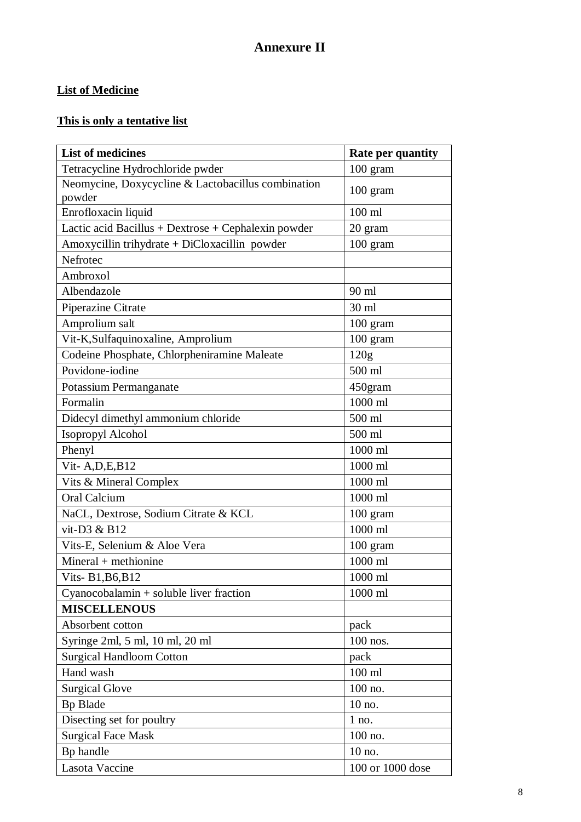# **Annexure II**

## **List of Medicine**

# **This is only a tentative list**

| <b>List of medicines</b>                                     | Rate per quantity |
|--------------------------------------------------------------|-------------------|
| Tetracycline Hydrochloride pwder                             | 100 gram          |
| Neomycine, Doxycycline & Lactobacillus combination<br>powder | 100 gram          |
| Enrofloxacin liquid                                          | $100$ ml          |
| Lactic acid Bacillus + Dextrose + Cephalexin powder          | 20 gram           |
| Amoxycillin trihydrate + DiCloxacillin powder                | $100$ gram        |
| Nefrotec                                                     |                   |
| Ambroxol                                                     |                   |
| Albendazole                                                  | 90 ml             |
| Piperazine Citrate                                           | 30 ml             |
| Amprolium salt                                               | $100$ gram        |
| Vit-K, Sulfaquinoxaline, Amprolium                           | 100 gram          |
| Codeine Phosphate, Chlorpheniramine Maleate                  | 120g              |
| Povidone-iodine                                              | 500 ml            |
| Potassium Permanganate                                       | 450gram           |
| Formalin                                                     | 1000 ml           |
| Didecyl dimethyl ammonium chloride                           | 500 ml            |
| Isopropyl Alcohol                                            | 500 ml            |
| Phenyl                                                       | 1000 ml           |
| Vit-A, $D$ , $E$ , $B$ 12                                    | 1000 ml           |
| Vits & Mineral Complex                                       | 1000 ml           |
| Oral Calcium                                                 | 1000 ml           |
| NaCL, Dextrose, Sodium Citrate & KCL                         | 100 gram          |
| vit-D3 & B12                                                 | 1000 ml           |
| Vits-E, Selenium & Aloe Vera                                 | 100 gram          |
| $Mineral + methionine$                                       | 1000 ml           |
| Vits-B1, B6, B12                                             | 1000 ml           |
| $Cyanocobalamin + soluble liver fraction$                    | 1000 ml           |
| <b>MISCELLENOUS</b>                                          |                   |
| Absorbent cotton                                             | pack              |
| Syringe 2ml, 5 ml, 10 ml, 20 ml                              | $100$ nos.        |
| <b>Surgical Handloom Cotton</b>                              | pack              |
| Hand wash                                                    | $100$ ml          |
| <b>Surgical Glove</b>                                        | 100 no.           |
| <b>Bp Blade</b>                                              | 10 no.            |
| Disecting set for poultry                                    | $1$ no.           |
| <b>Surgical Face Mask</b>                                    | 100 no.           |
| Bp handle                                                    | 10 no.            |
| Lasota Vaccine                                               | 100 or 1000 dose  |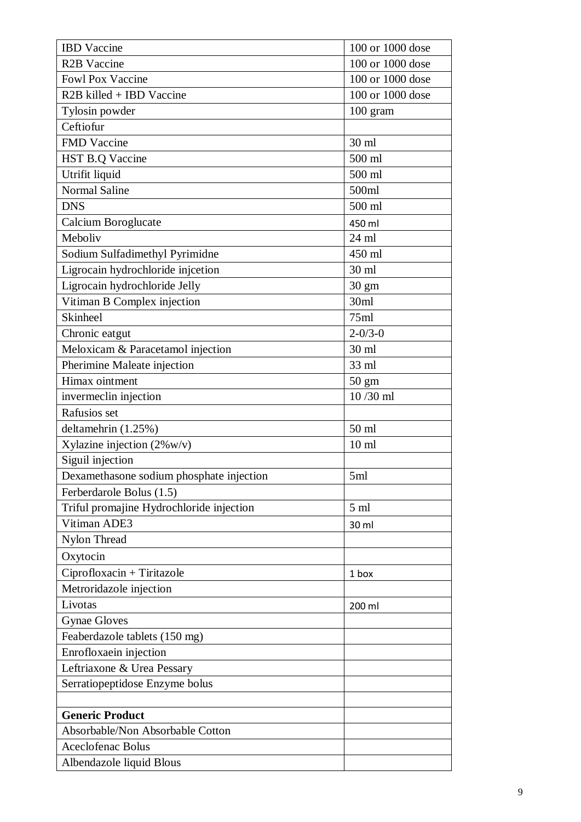| <b>IBD</b> Vaccine                       | 100 or 1000 dose |
|------------------------------------------|------------------|
| <b>R2B</b> Vaccine                       | 100 or 1000 dose |
| <b>Fowl Pox Vaccine</b>                  | 100 or 1000 dose |
| R2B killed + IBD Vaccine                 | 100 or 1000 dose |
| Tylosin powder                           | 100 gram         |
| Ceftiofur                                |                  |
| <b>FMD</b> Vaccine                       | 30 ml            |
| HST B.Q Vaccine                          | 500 ml           |
| Utrifit liquid                           | 500 ml           |
| <b>Normal Saline</b>                     | 500ml            |
| <b>DNS</b>                               | 500 ml           |
| Calcium Boroglucate                      | 450 ml           |
| Meboliv                                  | $24$ ml          |
| Sodium Sulfadimethyl Pyrimidne           | 450 ml           |
| Ligrocain hydrochloride injcetion        | 30 ml            |
| Ligrocain hydrochloride Jelly            | $30 \text{ gm}$  |
| Vitiman B Complex injection              | 30ml             |
| <b>Skinheel</b>                          | 75ml             |
| Chronic eatgut                           | $2 - 0/3 - 0$    |
| Meloxicam & Paracetamol injection        | $30 \text{ ml}$  |
| Pherimine Maleate injection              | 33 ml            |
| Himax ointment                           | 50 gm            |
| invermeclin injection                    | 10/30 ml         |
| Rafusios set                             |                  |
| deltamehrin (1.25%)                      | 50 ml            |
| Xylazine injection $(2\%w/v)$            | $10 \text{ ml}$  |
| Siguil injection                         |                  |
| Dexamethasone sodium phosphate injection | 5ml              |
| Ferberdarole Bolus (1.5)                 |                  |
| Triful promajine Hydrochloride injection | 5 <sub>ml</sub>  |
| Vitiman ADE3                             | 30 ml            |
| Nylon Thread                             |                  |
| Oxytocin                                 |                  |
| $Ciproflox (ax) + Tirit (az)$            | 1 box            |
| Metroridazole injection                  |                  |
| Livotas                                  | 200 ml           |
| <b>Gynae Gloves</b>                      |                  |
| Feaberdazole tablets (150 mg)            |                  |
| Enrofloxaein injection                   |                  |
| Leftriaxone & Urea Pessary               |                  |
| Serratiopeptidose Enzyme bolus           |                  |
|                                          |                  |
| <b>Generic Product</b>                   |                  |
| Absorbable/Non Absorbable Cotton         |                  |
| <b>Aceclofenac Bolus</b>                 |                  |
| Albendazole liquid Blous                 |                  |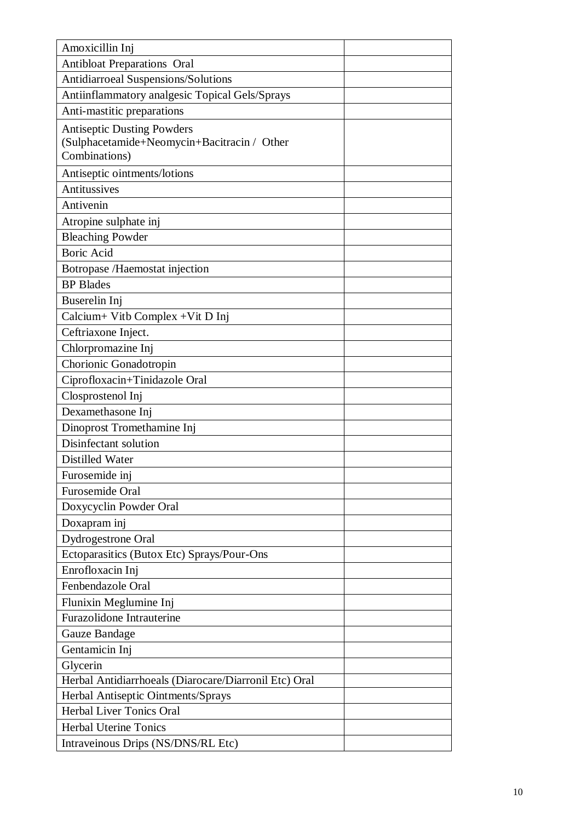| Amoxicillin Inj                                       |  |
|-------------------------------------------------------|--|
| <b>Antibloat Preparations Oral</b>                    |  |
| Antidiarroeal Suspensions/Solutions                   |  |
| Antiinflammatory analgesic Topical Gels/Sprays        |  |
| Anti-mastitic preparations                            |  |
| <b>Antiseptic Dusting Powders</b>                     |  |
| (Sulphacetamide+Neomycin+Bacitracin / Other           |  |
| Combinations)                                         |  |
| Antiseptic ointments/lotions                          |  |
| Antitussives                                          |  |
| Antivenin                                             |  |
| Atropine sulphate inj                                 |  |
| <b>Bleaching Powder</b>                               |  |
| <b>Boric Acid</b>                                     |  |
| Botropase /Haemostat injection                        |  |
| <b>BP</b> Blades                                      |  |
| Buserelin Inj                                         |  |
| Calcium+ Vitb Complex + Vit D Inj                     |  |
| Ceftriaxone Inject.                                   |  |
| Chlorpromazine Inj                                    |  |
| Chorionic Gonadotropin                                |  |
| Ciprofloxacin+Tinidazole Oral                         |  |
| Closprostenol Inj                                     |  |
| Dexamethasone Inj                                     |  |
| Dinoprost Tromethamine Inj                            |  |
| Disinfectant solution                                 |  |
| <b>Distilled Water</b>                                |  |
| Furosemide inj                                        |  |
| Furosemide Oral                                       |  |
| Doxycyclin Powder Oral                                |  |
| Doxapram inj                                          |  |
| Dydrogestrone Oral                                    |  |
| Ectoparasitics (Butox Etc) Sprays/Pour-Ons            |  |
| Enrofloxacin Inj                                      |  |
| Fenbendazole Oral                                     |  |
| Flunixin Meglumine Inj                                |  |
| Furazolidone Intrauterine                             |  |
| Gauze Bandage                                         |  |
| Gentamicin Inj                                        |  |
| Glycerin                                              |  |
| Herbal Antidiarrhoeals (Diarocare/Diarronil Etc) Oral |  |
| Herbal Antiseptic Ointments/Sprays                    |  |
| Herbal Liver Tonics Oral                              |  |
| <b>Herbal Uterine Tonics</b>                          |  |
| Intraveinous Drips (NS/DNS/RL Etc)                    |  |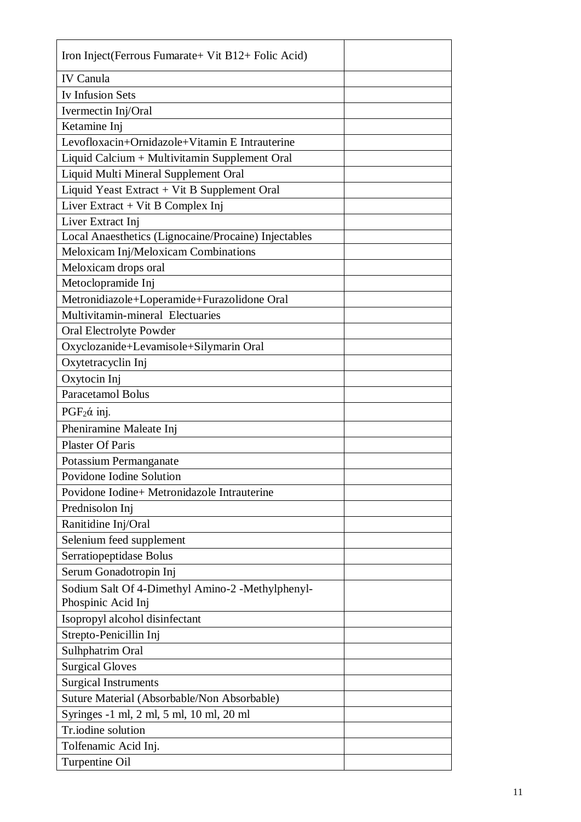| Iron Inject (Ferrous Fumarate+ Vit B12+ Folic Acid)  |
|------------------------------------------------------|
| <b>IV Canula</b>                                     |
| <b>Iv Infusion Sets</b>                              |
| Ivermectin Inj/Oral                                  |
| Ketamine Inj                                         |
| Levofloxacin+Ornidazole+Vitamin E Intrauterine       |
| Liquid Calcium + Multivitamin Supplement Oral        |
| Liquid Multi Mineral Supplement Oral                 |
| Liquid Yeast Extract + Vit B Supplement Oral         |
| Liver Extract $+$ Vit B Complex Inj                  |
| Liver Extract Inj                                    |
| Local Anaesthetics (Lignocaine/Procaine) Injectables |
| Meloxicam Inj/Meloxicam Combinations                 |
| Meloxicam drops oral                                 |
| Metoclopramide Inj                                   |
| Metronidiazole+Loperamide+Furazolidone Oral          |
| Multivitamin-mineral Electuaries                     |
| Oral Electrolyte Powder                              |
| Oxyclozanide+Levamisole+Silymarin Oral               |
| Oxytetracyclin Inj                                   |
| Oxytocin Inj                                         |
| <b>Paracetamol Bolus</b>                             |
| $PGF2$ ά inj.                                        |
| Pheniramine Maleate Inj                              |
| <b>Plaster Of Paris</b>                              |
| Potassium Permanganate                               |
| Povidone Iodine Solution                             |
| Povidone Iodine+ Metronidazole Intrauterine          |
| Prednisolon Inj                                      |
| Ranitidine Inj/Oral                                  |
| Selenium feed supplement                             |
| Serratiopeptidase Bolus                              |
| Serum Gonadotropin Inj                               |
| Sodium Salt Of 4-Dimethyl Amino-2 -Methylphenyl-     |
| Phospinic Acid Inj                                   |
| Isopropyl alcohol disinfectant                       |
| Strepto-Penicillin Inj                               |
| Sulhphatrim Oral                                     |
| <b>Surgical Gloves</b>                               |
| <b>Surgical Instruments</b>                          |
| Suture Material (Absorbable/Non Absorbable)          |
| Syringes -1 ml, 2 ml, 5 ml, 10 ml, 20 ml             |
| Tr.iodine solution                                   |
| Tolfenamic Acid Inj.                                 |
| Turpentine Oil                                       |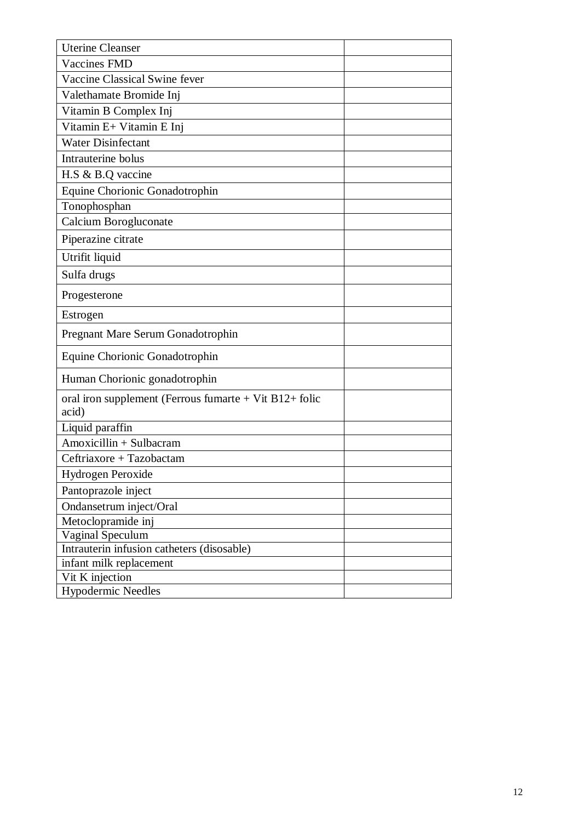| <b>Uterine Cleanser</b>                                         |
|-----------------------------------------------------------------|
| <b>Vaccines FMD</b>                                             |
| Vaccine Classical Swine fever                                   |
| Valethamate Bromide Inj                                         |
| Vitamin B Complex Inj                                           |
| Vitamin E+ Vitamin E Inj                                        |
| <b>Water Disinfectant</b>                                       |
| Intrauterine bolus                                              |
| H.S & B.Q vaccine                                               |
| Equine Chorionic Gonadotrophin                                  |
| Tonophosphan                                                    |
| Calcium Borogluconate                                           |
| Piperazine citrate                                              |
| Utrifit liquid                                                  |
| Sulfa drugs                                                     |
| Progesterone                                                    |
| Estrogen                                                        |
| Pregnant Mare Serum Gonadotrophin                               |
| Equine Chorionic Gonadotrophin                                  |
| Human Chorionic gonadotrophin                                   |
| oral iron supplement (Ferrous fumarte + Vit B12+ folic<br>acid) |
| Liquid paraffin                                                 |
| Amoxicillin + Sulbacram                                         |
| Ceftriaxore + Tazobactam                                        |
| Hydrogen Peroxide                                               |
| Pantoprazole inject                                             |
| Ondansetrum inject/Oral                                         |
| Metoclopramide inj                                              |
| Vaginal Speculum                                                |
| Intrauterin infusion catheters (disosable)                      |
| infant milk replacement                                         |
| Vit K injection                                                 |
| <b>Hypodermic Needles</b>                                       |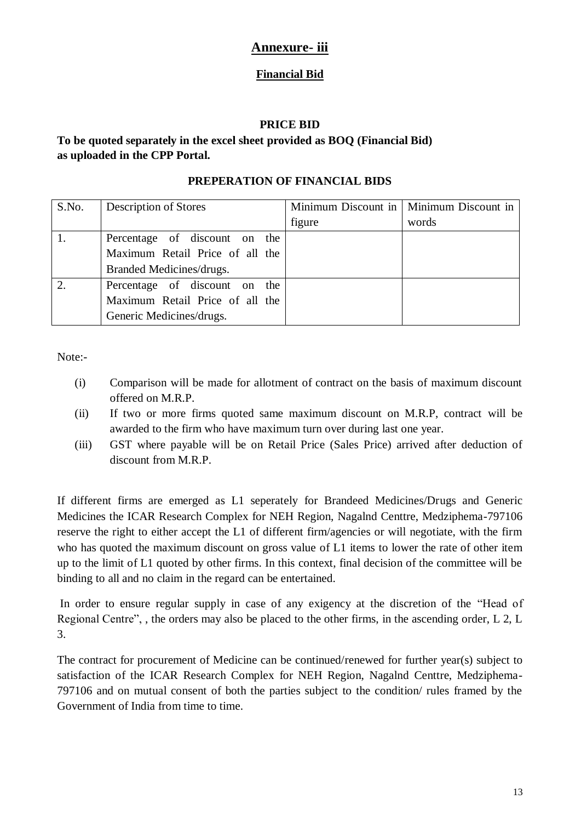## **Annexure- iii**

### **Financial Bid**

#### **PRICE BID**

### **To be quoted separately in the excel sheet provided as BOQ (Financial Bid) as uploaded in the CPP Portal.**

#### **PREPERATION OF FINANCIAL BIDS**

| S.No. | Description of Stores           |        | Minimum Discount in   Minimum Discount in |
|-------|---------------------------------|--------|-------------------------------------------|
|       |                                 | figure | words                                     |
|       | Percentage of discount on the   |        |                                           |
|       | Maximum Retail Price of all the |        |                                           |
|       | Branded Medicines/drugs.        |        |                                           |
|       | Percentage of discount on the   |        |                                           |
|       | Maximum Retail Price of all the |        |                                           |
|       | Generic Medicines/drugs.        |        |                                           |

Note:-

- (i) Comparison will be made for allotment of contract on the basis of maximum discount offered on M.R.P.
- (ii) If two or more firms quoted same maximum discount on M.R.P, contract will be awarded to the firm who have maximum turn over during last one year.
- (iii) GST where payable will be on Retail Price (Sales Price) arrived after deduction of discount from M.R.P.

If different firms are emerged as L1 seperately for Brandeed Medicines/Drugs and Generic Medicines the ICAR Research Complex for NEH Region, Nagalnd Centtre, Medziphema-797106 reserve the right to either accept the L1 of different firm/agencies or will negotiate, with the firm who has quoted the maximum discount on gross value of L1 items to lower the rate of other item up to the limit of L1 quoted by other firms. In this context, final decision of the committee will be binding to all and no claim in the regard can be entertained.

In order to ensure regular supply in case of any exigency at the discretion of the "Head of Regional Centre", , the orders may also be placed to the other firms, in the ascending order, L 2, L 3.

The contract for procurement of Medicine can be continued/renewed for further year(s) subject to satisfaction of the ICAR Research Complex for NEH Region, Nagalnd Centtre, Medziphema-797106 and on mutual consent of both the parties subject to the condition/ rules framed by the Government of India from time to time.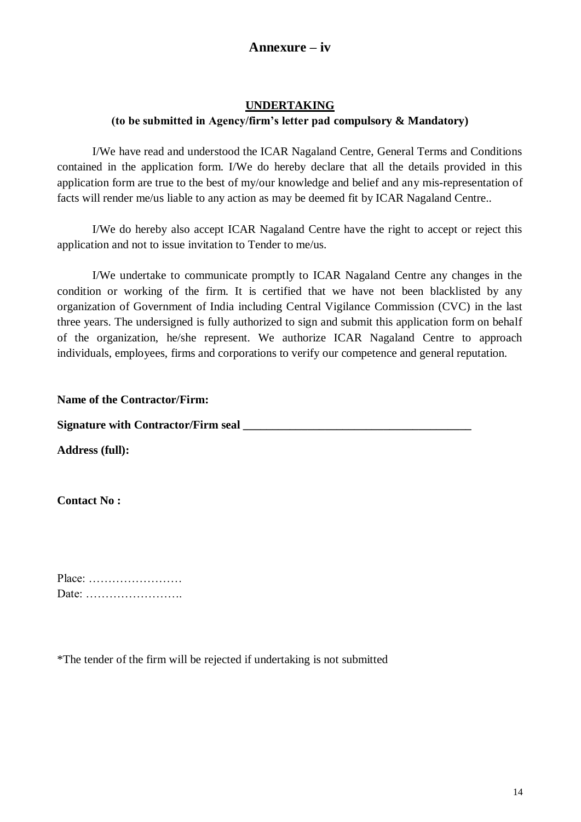## **Annexure – iv**

#### **UNDERTAKING (to be submitted in Agency/firm's letter pad compulsory & Mandatory)**

I/We have read and understood the ICAR Nagaland Centre, General Terms and Conditions contained in the application form. I/We do hereby declare that all the details provided in this application form are true to the best of my/our knowledge and belief and any mis-representation of facts will render me/us liable to any action as may be deemed fit by ICAR Nagaland Centre..

I/We do hereby also accept ICAR Nagaland Centre have the right to accept or reject this application and not to issue invitation to Tender to me/us.

I/We undertake to communicate promptly to ICAR Nagaland Centre any changes in the condition or working of the firm. It is certified that we have not been blacklisted by any organization of Government of India including Central Vigilance Commission (CVC) in the last three years. The undersigned is fully authorized to sign and submit this application form on behalf of the organization, he/she represent. We authorize ICAR Nagaland Centre to approach individuals, employees, firms and corporations to verify our competence and general reputation.

**Name of the Contractor/Firm:**

**Signature with Contractor/Firm seal \_\_\_\_\_\_\_\_\_\_\_\_\_\_\_\_\_\_\_\_\_\_\_\_\_\_\_\_\_\_\_\_\_\_\_\_\_\_\_**

**Address (full):**

**Contact No :**

Place: …………………… Date: …………………….

\*The tender of the firm will be rejected if undertaking is not submitted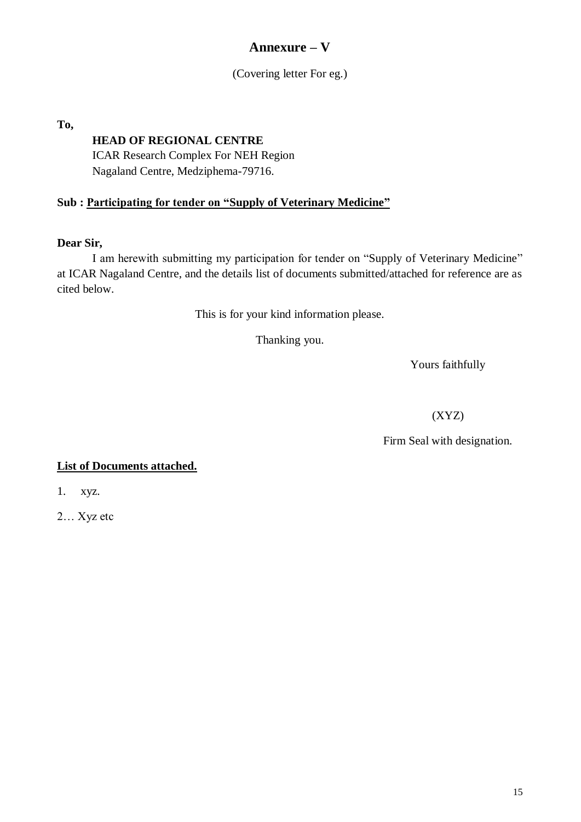## **Annexure – V**

(Covering letter For eg.)

**To,** 

## **HEAD OF REGIONAL CENTRE**

ICAR Research Complex For NEH Region Nagaland Centre, Medziphema-79716.

## **Sub : Participating for tender on "Supply of Veterinary Medicine"**

#### **Dear Sir,**

I am herewith submitting my participation for tender on "Supply of Veterinary Medicine" at ICAR Nagaland Centre, and the details list of documents submitted/attached for reference are as cited below.

This is for your kind information please.

Thanking you.

Yours faithfully

(XYZ)

Firm Seal with designation.

#### **List of Documents attached.**

1. xyz.

2… Xyz etc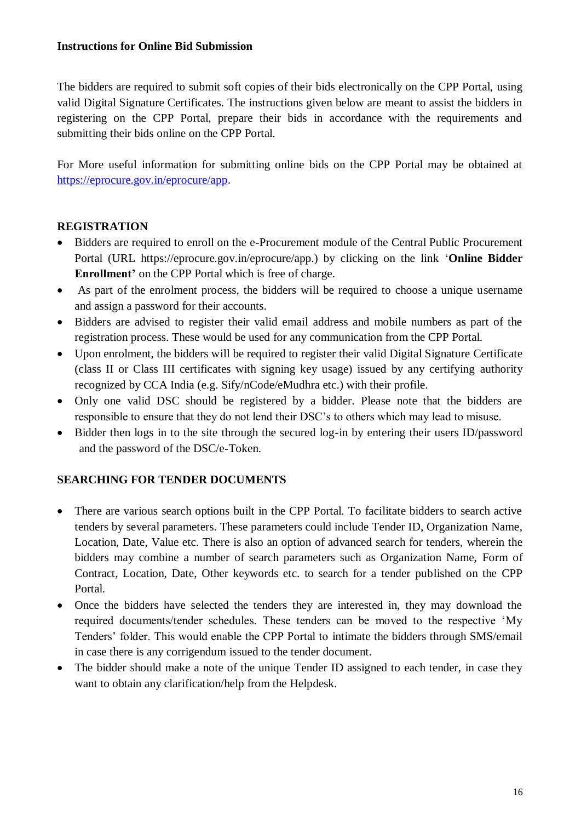#### **Instructions for Online Bid Submission**

The bidders are required to submit soft copies of their bids electronically on the CPP Portal, using valid Digital Signature Certificates. The instructions given below are meant to assist the bidders in registering on the CPP Portal, prepare their bids in accordance with the requirements and submitting their bids online on the CPP Portal.

For More useful information for submitting online bids on the CPP Portal may be obtained at [https://eprocure.gov.in/eprocure/app.](https://eprocure.gov.in/eprocure/app)

#### **REGISTRATION**

- Bidders are required to enroll on the e-Procurement module of the Central Public Procurement Portal (URL https://eprocure.gov.in/eprocure/app.) by clicking on the link "**Online Bidder Enrollment'** on the CPP Portal which is free of charge.
- As part of the enrolment process, the bidders will be required to choose a unique username and assign a password for their accounts.
- Bidders are advised to register their valid email address and mobile numbers as part of the registration process. These would be used for any communication from the CPP Portal.
- Upon enrolment, the bidders will be required to register their valid Digital Signature Certificate (class II or Class III certificates with signing key usage) issued by any certifying authority recognized by CCA India (e.g. Sify/nCode/eMudhra etc.) with their profile.
- Only one valid DSC should be registered by a bidder. Please note that the bidders are responsible to ensure that they do not lend their DSC"s to others which may lead to misuse.
- Bidder then logs in to the site through the secured log-in by entering their users ID/password and the password of the DSC/e-Token.

## **SEARCHING FOR TENDER DOCUMENTS**

- There are various search options built in the CPP Portal. To facilitate bidders to search active tenders by several parameters. These parameters could include Tender ID, Organization Name, Location, Date, Value etc. There is also an option of advanced search for tenders, wherein the bidders may combine a number of search parameters such as Organization Name, Form of Contract, Location, Date, Other keywords etc. to search for a tender published on the CPP Portal.
- Once the bidders have selected the tenders they are interested in, they may download the required documents/tender schedules. These tenders can be moved to the respective "My Tenders" folder. This would enable the CPP Portal to intimate the bidders through SMS/email in case there is any corrigendum issued to the tender document.
- The bidder should make a note of the unique Tender ID assigned to each tender, in case they want to obtain any clarification/help from the Helpdesk.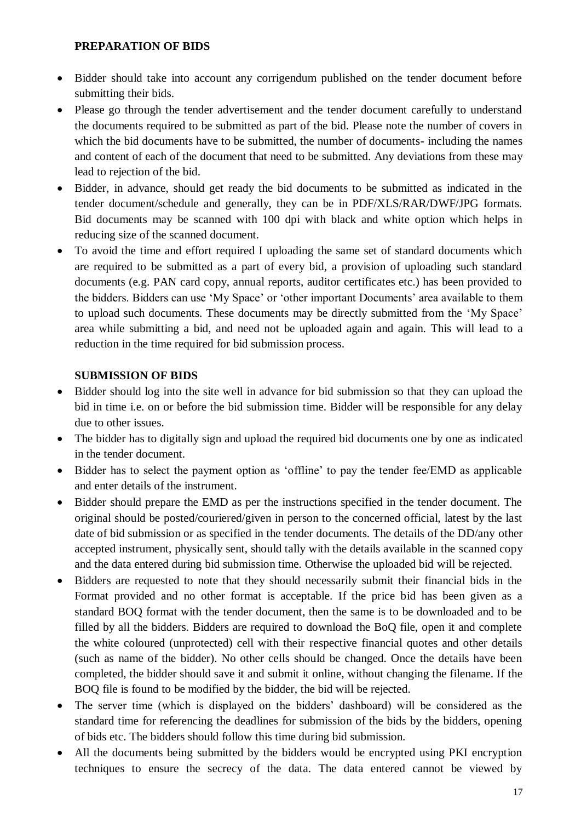#### **PREPARATION OF BIDS**

- Bidder should take into account any corrigendum published on the tender document before submitting their bids.
- Please go through the tender advertisement and the tender document carefully to understand the documents required to be submitted as part of the bid. Please note the number of covers in which the bid documents have to be submitted, the number of documents- including the names and content of each of the document that need to be submitted. Any deviations from these may lead to rejection of the bid.
- Bidder, in advance, should get ready the bid documents to be submitted as indicated in the tender document/schedule and generally, they can be in PDF/XLS/RAR/DWF/JPG formats. Bid documents may be scanned with 100 dpi with black and white option which helps in reducing size of the scanned document.
- To avoid the time and effort required I uploading the same set of standard documents which are required to be submitted as a part of every bid, a provision of uploading such standard documents (e.g. PAN card copy, annual reports, auditor certificates etc.) has been provided to the bidders. Bidders can use 'My Space' or 'other important Documents' area available to them to upload such documents. These documents may be directly submitted from the "My Space" area while submitting a bid, and need not be uploaded again and again. This will lead to a reduction in the time required for bid submission process.

#### **SUBMISSION OF BIDS**

- Bidder should log into the site well in advance for bid submission so that they can upload the bid in time i.e. on or before the bid submission time. Bidder will be responsible for any delay due to other issues.
- The bidder has to digitally sign and upload the required bid documents one by one as indicated in the tender document.
- Bidder has to select the payment option as 'offline' to pay the tender fee/EMD as applicable and enter details of the instrument.
- Bidder should prepare the EMD as per the instructions specified in the tender document. The original should be posted/couriered/given in person to the concerned official, latest by the last date of bid submission or as specified in the tender documents. The details of the DD/any other accepted instrument, physically sent, should tally with the details available in the scanned copy and the data entered during bid submission time. Otherwise the uploaded bid will be rejected.
- Bidders are requested to note that they should necessarily submit their financial bids in the Format provided and no other format is acceptable. If the price bid has been given as a standard BOQ format with the tender document, then the same is to be downloaded and to be filled by all the bidders. Bidders are required to download the BoQ file, open it and complete the white coloured (unprotected) cell with their respective financial quotes and other details (such as name of the bidder). No other cells should be changed. Once the details have been completed, the bidder should save it and submit it online, without changing the filename. If the BOQ file is found to be modified by the bidder, the bid will be rejected.
- The server time (which is displayed on the bidders' dashboard) will be considered as the standard time for referencing the deadlines for submission of the bids by the bidders, opening of bids etc. The bidders should follow this time during bid submission.
- All the documents being submitted by the bidders would be encrypted using PKI encryption techniques to ensure the secrecy of the data. The data entered cannot be viewed by